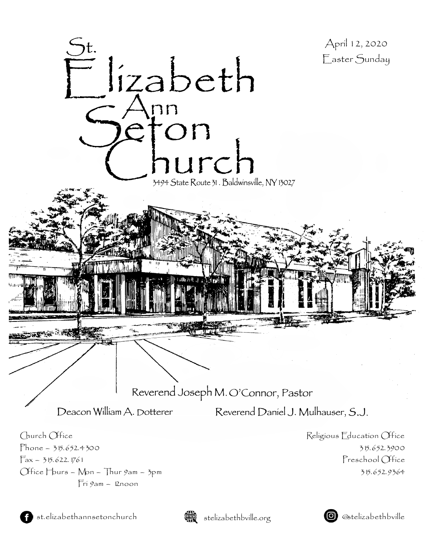



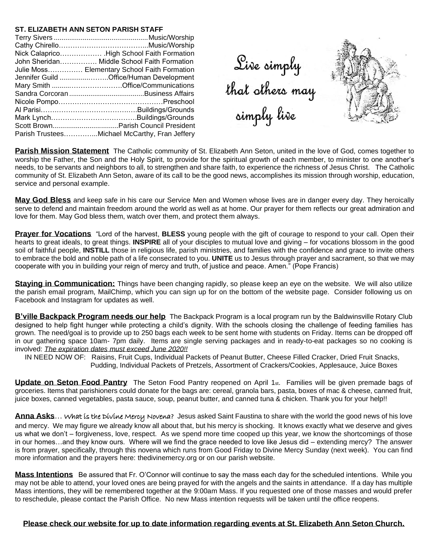### **ST. ELIZABETH ANN SETON PARISH STAFF**

| John Sheridan Middle School Faith Formation   |
|-----------------------------------------------|
| Julie Moss Elementary School Faith Formation  |
| Jennifer Guild Office/Human Development       |
|                                               |
|                                               |
|                                               |
|                                               |
|                                               |
|                                               |
| Parish TrusteesMichael McCarthy, Fran Jeffery |

Sive simply<br>that others may<br>simply live



**Parish Mission Statement** The Catholic community of St. Elizabeth Ann Seton, united in the love of God, comes together to worship the Father, the Son and the Holy Spirit, to provide for the spiritual growth of each member, to minister to one another's needs, to be servants and neighbors to all, to strengthen and share faith, to experience the richness of Jesus Christ. The Catholic community of St. Elizabeth Ann Seton, aware of its call to be the good news, accomplishes its mission through worship, education, service and personal example.

**May God Bless** and keep safe in his care our Service Men and Women whose lives are in danger every day. They heroically serve to defend and maintain freedom around the world as well as at home. Our prayer for them reflects our great admiration and love for them. May God bless them, watch over them, and protect them always.

**Prayer for Vocations** "Lord of the harvest, **BLESS** young people with the gift of courage to respond to your call. Open their hearts to great ideals, to great things. **INSPIRE** all of your disciples to mutual love and giving – for vocations blossom in the good soil of faithful people, **INSTILL** those in religious life, parish ministries, and families with the confidence and grace to invite others to embrace the bold and noble path of a life consecrated to you. **UNITE** us to Jesus through prayer and sacrament, so that we may cooperate with you in building your reign of mercy and truth, of justice and peace. Amen." (Pope Francis)

**Staying in Communication:** Things have been changing rapidly, so please keep an eye on the website. We will also utilize the parish email program, MailChimp, which you can sign up for on the bottom of the website page. Consider following us on Facebook and Instagram for updates as well.

**B'ville Backpack Program needs our help** The Backpack Program is a local program run by the Baldwinsville Rotary Club designed to help fight hunger while protecting a child's dignity. With the schools closing the challenge of feeding families has grown. The need/goal is to provide up to 250 bags each week to be sent home with students on Friday. Items can be dropped off in our gathering space 10am- 7pm daily. Items are single serving packages and in ready-to-eat packages so no cooking is involved: *The expiration dates must exceed June 2020!!*

IN NEED NOW OF: Raisins, Fruit Cups, Individual Packets of Peanut Butter, Cheese Filled Cracker, Dried Fruit Snacks, Pudding, Individual Packets of Pretzels, Assortment of Crackers/Cookies, Applesauce, Juice Boxes

**Update on Seton Food Pantry** The Seton Food Pantry reopened on April 1st. Families will be given premade bags of groceries. Items that parishioners could donate for the bags are: cereal, granola bars, pasta, boxes of mac & cheese, canned fruit, juice boxes, canned vegetables, pasta sauce, soup, peanut butter, and canned tuna & chicken. Thank you for your help!!

Anna Asks... What is the Divine Mercy Novena? Jesus asked Saint Faustina to share with the world the good news of his love and mercy. We may figure we already know all about that, but his mercy is shocking. It knows exactly what we deserve and gives us what we don't – forgiveness, love, respect. As we spend more time cooped up this year, we know the shortcomings of those in our homes…and they know ours. Where will we find the grace needed to love like Jesus did – extending mercy? The answer is from prayer, specifically, through this novena which runs from Good Friday to Divine Mercy Sunday (next week). You can find more information and the prayers here: thedivinemercy.org or on our parish website.

**Mass Intentions** Be assured that Fr. O'Connor will continue to say the mass each day for the scheduled intentions. While you may not be able to attend, your loved ones are being prayed for with the angels and the saints in attendance. If a day has multiple Mass intentions, they will be remembered together at the 9:00am Mass. If you requested one of those masses and would prefer to reschedule, please contact the Parish Office. No new Mass intention requests will be taken until the office reopens.

### **Please check our website for up to date information regarding events at St. Elizabeth Ann Seton Church.**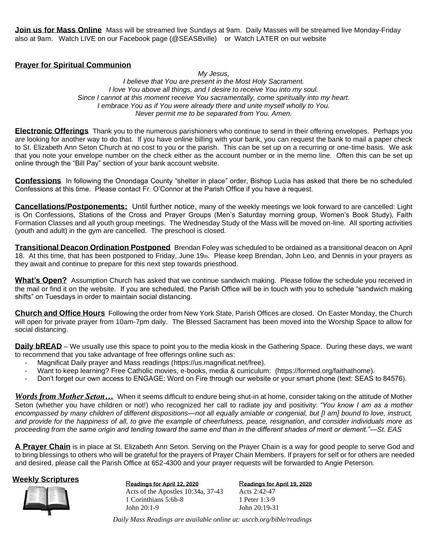**Join us for Mass Online** Mass will be streamed live Sundays at 9am. Daily Masses will be streamed live Monday-Friday also at 9am. Watch LIVE on our Facebook page (@SEASBville) or Watch LATER on our website

## **Prayer for Spiritual Communion**

*My Jesus, I believe that You are present in the Most Holy Sacrament. I love You above all things, and I desire to receive You into my soul. Since I cannot at this moment* r*eceive You sacramentally, come spiritually into my heart. I embrace You as if You were already there and unite myself wholly to You. Never permit me to be separated from You. Amen.*

**Electronic Offerings** Thank you to the numerous parishioners who continue to send in their offering envelopes. Perhaps you are looking for another way to do that. If you have online billing with your bank, you can request the bank to mail a paper check to St. Elizabeth Ann Seton Church at no cost to you or the parish. This can be set up on a recurring or one-time basis. We ask that you note your envelope number on the check either as the account number or in the memo line. Often this can be set up online through the "Bill Pay" section of your bank account website.

**Confessions** In following the Onondaga County "shelter in place" order, Bishop Lucia has asked that there be no scheduled Confessions at this time. Please contact Fr. O'Connor at the Parish Office if you have a request.

**Cancellations/Postponements:** Until further notice, many of the weekly meetings we look forward to are cancelled: Light is On Confessions, Stations of the Cross and Prayer Groups (Men's Saturday morning group, Women's Book Study), Faith Formation Classes and all youth group meetings. The Wednesday Study of the Mass will be moved on-line. All sporting activities (youth and adult) in the gym are cancelled. The preschool is closed.

**Transitional Deacon Ordination Postponed** Brendan Foley was scheduled to be ordained as a transitional deacon on April 18. At this time, that has been postponed to Friday, June 19th. Please keep Brendan, John Leo, and Dennis in your prayers as they await and continue to prepare for this next step towards priesthood.

**What's Open?** Assumption Church has asked that we continue sandwich making. Please follow the schedule you received in the mail or find it on the website. If you are scheduled, the Parish Office will be in touch with you to schedule "sandwich making shifts" on Tuesdays in order to maintain social distancing.

**Church and Office Hours** Following the order from New York State, Parish Offices are closed. On Easter Monday, the Church will open for private prayer from 10am-7pm daily. The Blessed Sacrament has been moved into the Worship Space to allow for social distancing.

**Daily bREAD** – We usually use this space to point you to the media kiosk in the Gathering Space. During these days, we want to recommend that you take advantage of free offerings online such as:

- Magnificat Daily prayer and Mass readings (https://us.magnificat.net/free).
- Want to keep learning? Free Catholic movies, e-books, media & curriculum: (https://formed.org/faithathome).
- Don't forget our own access to ENGAGE: Word on Fire through our website or your smart phone (text: SEAS to 84576).

*Words from Mother Seton…* When it seems difficult to endure being shut-in at home, consider taking on the attitude of Mother Seton (whether you have children or not!) who recognized her call to radiate joy and positivity: *"You know I am as a mother encompassed by many children of different dispositions—not all equally amiable or congenial, but [I am] bound to love, instruct, and provide for the happiness of all, to give the example of cheerfulness, peace, resignation, and consider individuals more as proceeding from the same origin and tending toward the same end than in the different shades of merit or demerit."—St. EAS*

**A Prayer Chain** is in place at St. Elizabeth Ann Seton. Serving on the Prayer Chain is a way for good people to serve God and to bring blessings to others who will be grateful for the prayers of Prayer Chain Members. If prayers for self or for others are needed and desired, please call the Parish Office at 652-4300 and your prayer requests will be forwarded to Angie Peterson.

# **Weekly Scriptures**<br>Readings for April 12, 2020



Acts of the Apostles 10:34a, 37-43 1 Corinthians 5:6b-8 John 20:1-9

R**eadings for April 19, 2020** Acts 2:42-47 1 Peter 1:3-9 John 20:19-31

*Daily Mass Readings are available online at: usccb.org/bible/readings*